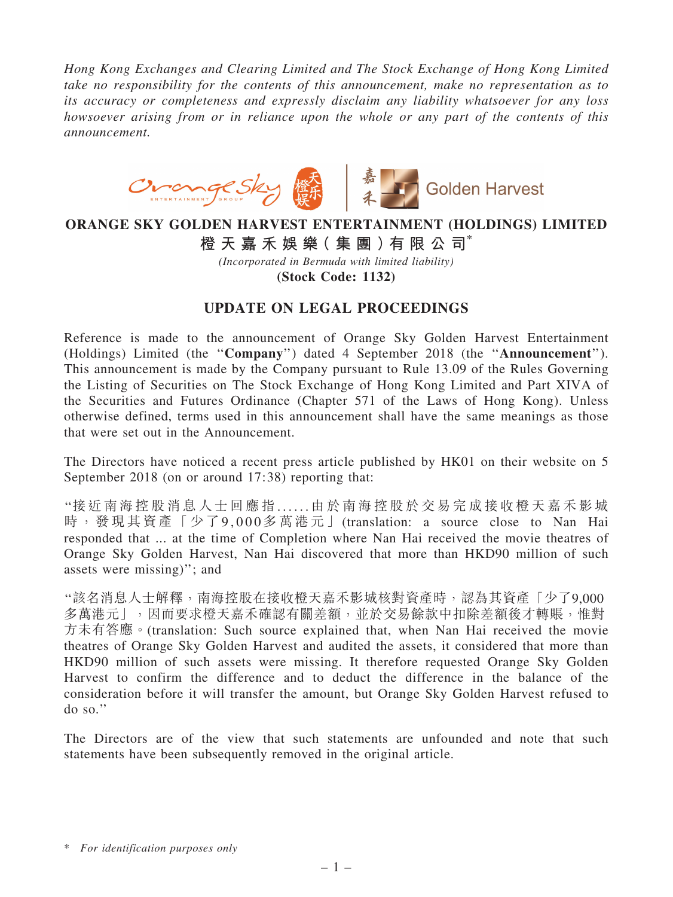*Hong Kong Exchanges and Clearing Limited and The Stock Exchange of Hong Kong Limited take no responsibility for the contents of this announcement, make no representation as to its accuracy or completeness and expressly disclaim any liability whatsoever for any loss howsoever arising from or in reliance upon the whole or any part of the contents of this announcement.*



## ORANGE SKY GOLDEN HARVEST ENTERTAINMENT (HOLDINGS) LIMITED

橙 天 嘉 禾 娛 樂( 集 團 )有 限 公 司\*

*(Incorporated in Bermuda with limited liability)*

(Stock Code: 1132)

## UPDATE ON LEGAL PROCEEDINGS

Reference is made to the announcement of Orange Sky Golden Harvest Entertainment (Holdings) Limited (the ''Company'') dated 4 September 2018 (the ''Announcement''). This announcement is made by the Company pursuant to Rule 13.09 of the Rules Governing the Listing of Securities on The Stock Exchange of Hong Kong Limited and Part XIVA of the Securities and Futures Ordinance (Chapter 571 of the Laws of Hong Kong). Unless otherwise defined, terms used in this announcement shall have the same meanings as those that were set out in the Announcement.

The Directors have noticed a recent press article published by HK01 on their website on 5 September 2018 (on or around 17:38) reporting that:

''接近南海控 股消息人士回應指. . . . . . 由於南海控股於交 易完成接收橙天嘉禾影城 時,發現其資產「少了9,000多萬港元」(translation: a source close to Nan Hai responded that ... at the time of Completion where Nan Hai received the movie theatres of Orange Sky Golden Harvest, Nan Hai discovered that more than HKD90 million of such assets were missing)''; and

''該名消息⼈⼠解釋,南海控股在接收橙天嘉⽲影城核對資產時,認為其資產「少了9,000 多萬港元」,因而要求橙天嘉禾確認有關差額,並於交易餘款中扣除差額後才轉賬,惟對 方未有答應。(translation: Such source explained that, when Nan Hai received the movie theatres of Orange Sky Golden Harvest and audited the assets, it considered that more than HKD90 million of such assets were missing. It therefore requested Orange Sky Golden Harvest to confirm the difference and to deduct the difference in the balance of the consideration before it will transfer the amount, but Orange Sky Golden Harvest refused to do so.''

The Directors are of the view that such statements are unfounded and note that such statements have been subsequently removed in the original article.

<sup>\*</sup> *For identification purposes only*